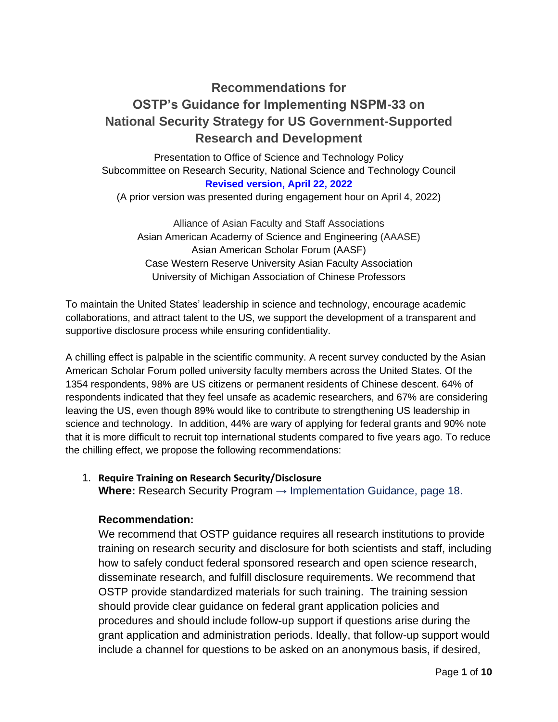# **Recommendations for OSTP's Guidance for Implementing NSPM-33 on National Security Strategy for US Government-Supported Research and Development**

Presentation to Office of Science and Technology Policy Subcommittee on Research Security, National Science and Technology Council **Revised version, April 22, 2022** 

(A prior version was presented during engagement hour on April 4, 2022)

Alliance of Asian Faculty and Staff Associations Asian American Academy of Science and Engineering (AAASE) Asian American Scholar Forum (AASF) Case Western Reserve University Asian Faculty Association University of Michigan Association of Chinese Professors

To maintain the United States' leadership in science and technology, encourage academic collaborations, and attract talent to the US, we support the development of a transparent and supportive disclosure process while ensuring confidentiality.

A chilling effect is palpable in the scientific community. A recent survey conducted by the Asian American Scholar Forum polled university faculty members across the United States. Of the 1354 respondents, 98% are US citizens or permanent residents of Chinese descent. 64% of respondents indicated that they feel unsafe as academic researchers, and 67% are considering leaving the US, even though 89% would like to contribute to strengthening US leadership in science and technology. In addition, 44% are wary of applying for federal grants and 90% note that it is more difficult to recruit top international students compared to five years ago. To reduce the chilling effect, we propose the following recommendations:

# 1. **Require Training on Research Security/Disclosure**

**Where:** Research Security Program → Implementation Guidance, page 18.

# **Recommendation:**

We recommend that OSTP guidance requires all research institutions to provide training on research security and disclosure for both scientists and staff, including how to safely conduct federal sponsored research and open science research, disseminate research, and fulfill disclosure requirements. We recommend that OSTP provide standardized materials for such training. The training session should provide clear guidance on federal grant application policies and procedures and should include follow-up support if questions arise during the grant application and administration periods. Ideally, that follow-up support would include a channel for questions to be asked on an anonymous basis, if desired,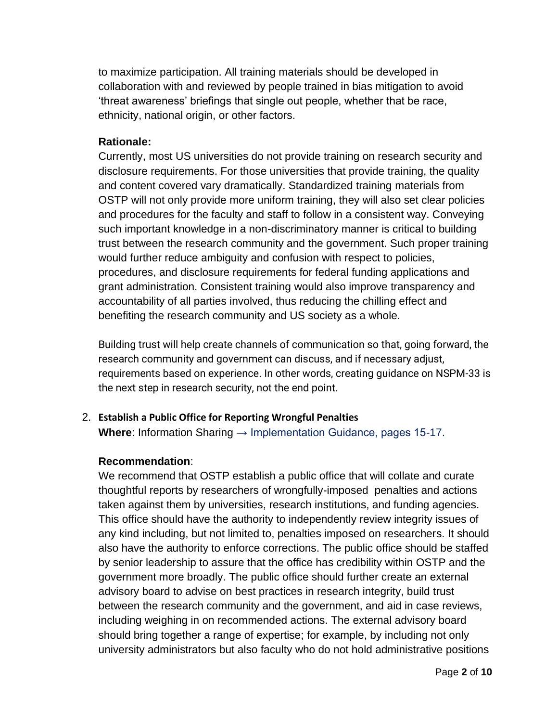to maximize participation. All training materials should be developed in collaboration with and reviewed by people trained in bias mitigation to avoid 'threat awareness' briefings that single out people, whether that be race, ethnicity, national origin, or other factors.

# **Rationale:**

Currently, most US universities do not provide training on research security and disclosure requirements. For those universities that provide training, the quality and content covered vary dramatically. Standardized training materials from OSTP will not only provide more uniform training, they will also set clear policies and procedures for the faculty and staff to follow in a consistent way. Conveying such important knowledge in a non-discriminatory manner is critical to building trust between the research community and the government. Such proper training would further reduce ambiguity and confusion with respect to policies, procedures, and disclosure requirements for federal funding applications and grant administration. Consistent training would also improve transparency and accountability of all parties involved, thus reducing the chilling effect and benefiting the research community and US society as a whole.

Building trust will help create channels of communication so that, going forward, the research community and government can discuss, and if necessary adjust, requirements based on experience. In other words, creating guidance on NSPM-33 is the next step in research security, not the end point.

# 2. **Establish a Public Office for Reporting Wrongful Penalties**

**Where**: Information Sharing → Implementation Guidance, pages 15-17.

# **Recommendation**:

We recommend that OSTP establish a public office that will collate and curate thoughtful reports by researchers of wrongfully-imposed penalties and actions taken against them by universities, research institutions, and funding agencies. This office should have the authority to independently review integrity issues of any kind including, but not limited to, penalties imposed on researchers. It should also have the authority to enforce corrections. The public office should be staffed by senior leadership to assure that the office has credibility within OSTP and the government more broadly. The public office should further create an external advisory board to advise on best practices in research integrity, build trust between the research community and the government, and aid in case reviews, including weighing in on recommended actions. The external advisory board should bring together a range of expertise; for example, by including not only university administrators but also faculty who do not hold administrative positions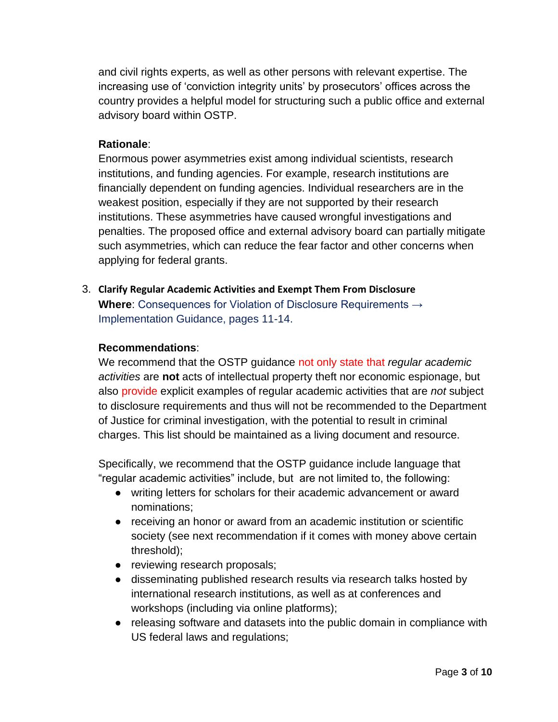and civil rights experts, as well as other persons with relevant expertise. The increasing use of 'conviction integrity units' by prosecutors' offices across the country provides a helpful model for structuring such a public office and external advisory board within OSTP.

# **Rationale**:

Enormous power asymmetries exist among individual scientists, research institutions, and funding agencies. For example, research institutions are financially dependent on funding agencies. Individual researchers are in the weakest position, especially if they are not supported by their research institutions. These asymmetries have caused wrongful investigations and penalties. The proposed office and external advisory board can partially mitigate such asymmetries, which can reduce the fear factor and other concerns when applying for federal grants.

3. **Clarify Regular Academic Activities and Exempt Them From Disclosure Where**: Consequences for Violation of Disclosure Requirements → Implementation Guidance, pages 11-14.

# **Recommendations**:

We recommend that the OSTP guidance not only state that *regular academic activities* are **not** acts of intellectual property theft nor economic espionage, but also provide explicit examples of regular academic activities that are *not* subject to disclosure requirements and thus will not be recommended to the Department of Justice for criminal investigation, with the potential to result in criminal charges. This list should be maintained as a living document and resource.

Specifically, we recommend that the OSTP guidance include language that "regular academic activities" include, but are not limited to, the following:

- writing letters for scholars for their academic advancement or award nominations;
- receiving an honor or award from an academic institution or scientific society (see next recommendation if it comes with money above certain threshold);
- reviewing research proposals;
- disseminating published research results via research talks hosted by international research institutions, as well as at conferences and workshops (including via online platforms);
- releasing software and datasets into the public domain in compliance with US federal laws and regulations;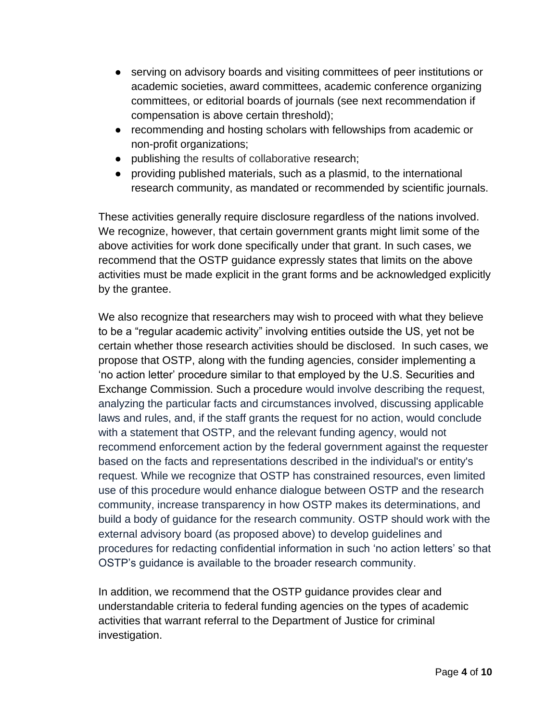- serving on advisory boards and visiting committees of peer institutions or academic societies, award committees, academic conference organizing committees, or editorial boards of journals (see next recommendation if compensation is above certain threshold);
- recommending and hosting scholars with fellowships from academic or non-profit organizations;
- publishing the results of collaborative research;
- providing published materials, such as a plasmid, to the international research community, as mandated or recommended by scientific journals.

These activities generally require disclosure regardless of the nations involved. We recognize, however, that certain government grants might limit some of the above activities for work done specifically under that grant. In such cases, we recommend that the OSTP guidance expressly states that limits on the above activities must be made explicit in the grant forms and be acknowledged explicitly by the grantee.

We also recognize that researchers may wish to proceed with what they believe to be a "regular academic activity" involving entities outside the US, yet not be certain whether those research activities should be disclosed. In such cases, we propose that OSTP, along with the funding agencies, consider implementing a 'no action letter' procedure similar to that employed by the U.S. Securities and Exchange Commission. Such a procedure would involve describing the request, analyzing the particular facts and circumstances involved, discussing applicable laws and rules, and, if the staff grants the request for no action, would conclude with a statement that OSTP, and the relevant funding agency, would not recommend enforcement action by the federal government against the requester based on the facts and representations described in the individual's or entity's request. While we recognize that OSTP has constrained resources, even limited use of this procedure would enhance dialogue between OSTP and the research community, increase transparency in how OSTP makes its determinations, and build a body of guidance for the research community. OSTP should work with the external advisory board (as proposed above) to develop guidelines and procedures for redacting confidential information in such 'no action letters' so that OSTP's guidance is available to the broader research community.

In addition, we recommend that the OSTP guidance provides clear and understandable criteria to federal funding agencies on the types of academic activities that warrant referral to the Department of Justice for criminal investigation.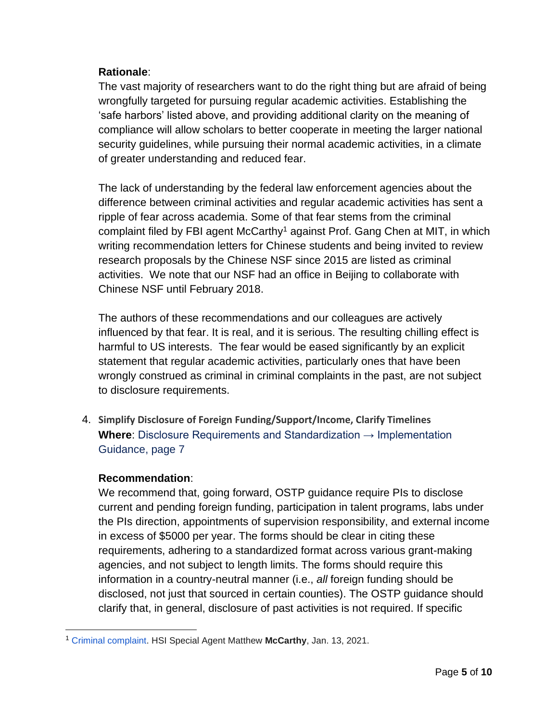# **Rationale**:

The vast majority of researchers want to do the right thing but are afraid of being wrongfully targeted for pursuing regular academic activities. Establishing the 'safe harbors' listed above, and providing additional clarity on the meaning of compliance will allow scholars to better cooperate in meeting the larger national security guidelines, while pursuing their normal academic activities, in a climate of greater understanding and reduced fear.

The lack of understanding by the federal law enforcement agencies about the difference between criminal activities and regular academic activities has sent a ripple of fear across academia. Some of that fear stems from the criminal complaint filed by FBI agent McCarthy<sup>1</sup> against Prof. Gang Chen at MIT, in which writing recommendation letters for Chinese students and being invited to review research proposals by the Chinese NSF since 2015 are listed as criminal activities. We note that our NSF had an office in Beijing to collaborate with Chinese NSF until February 2018.

The authors of these recommendations and our colleagues are actively influenced by that fear. It is real, and it is serious. The resulting chilling effect is harmful to US interests. The fear would be eased significantly by an explicit statement that regular academic activities, particularly ones that have been wrongly construed as criminal in criminal complaints in the past, are not subject to disclosure requirements.

4. **Simplify Disclosure of Foreign Funding/Support/Income, Clarify Timelines Where**: Disclosure Requirements and Standardization → Implementation Guidance, page 7

# **Recommendation**:

We recommend that, going forward, OSTP guidance require PIs to disclose current and pending foreign funding, participation in talent programs, labs under the PIs direction, appointments of supervision responsibility, and external income in excess of \$5000 per year. The forms should be clear in citing these requirements, adhering to a standardized format across various grant-making agencies, and not subject to length limits. The forms should require this information in a country-neutral manner (i.e., *all* foreign funding should be disclosed, not just that sourced in certain counties). The OSTP guidance should clarify that, in general, disclosure of past activities is not required. If specific

<sup>1</sup> Criminal complaint. HSI Special Agent Matthew **McCarthy**, Jan. 13, 2021.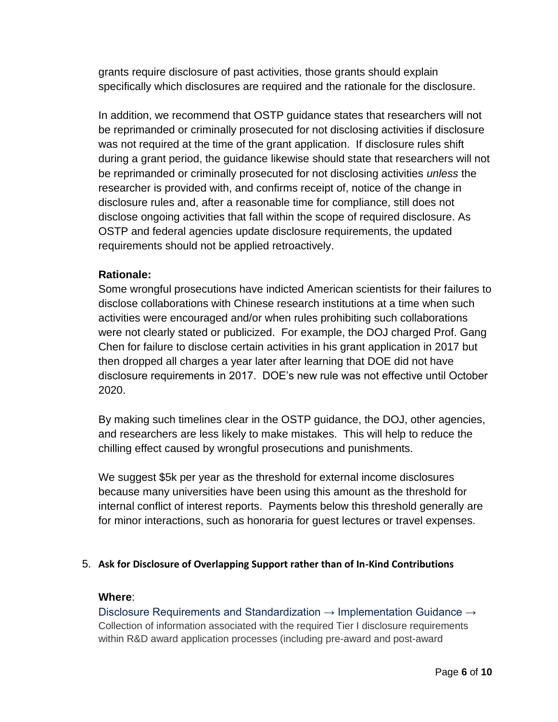grants require disclosure of past activities, those grants should explain specifically which disclosures are required and the rationale for the disclosure.

In addition, we recommend that OSTP guidance states that researchers will not be reprimanded or criminally prosecuted for not disclosing activities if disclosure was not required at the time of the grant application. If disclosure rules shift during a grant period, the guidance likewise should state that researchers will not be reprimanded or criminally prosecuted for not disclosing activities *unless* the researcher is provided with, and confirms receipt of, notice of the change in disclosure rules and, after a reasonable time for compliance, still does not disclose ongoing activities that fall within the scope of required disclosure. As OSTP and federal agencies update disclosure requirements, the updated requirements should not be applied retroactively.

# **Rationale:**

Some wrongful prosecutions have indicted American scientists for their failures to disclose collaborations with Chinese research institutions at a time when such activities were encouraged and/or when rules prohibiting such collaborations were not clearly stated or publicized. For example, the DOJ charged Prof. Gang Chen for failure to disclose certain activities in his grant application in 2017 but then dropped all charges a year later after learning that DOE did not have disclosure requirements in 2017. DOE's new rule was not effective until October 2020.

By making such timelines clear in the OSTP guidance, the DOJ, other agencies, and researchers are less likely to make mistakes. This will help to reduce the chilling effect caused by wrongful prosecutions and punishments.

We suggest \$5k per year as the threshold for external income disclosures because many universities have been using this amount as the threshold for internal conflict of interest reports. Payments below this threshold generally are for minor interactions, such as honoraria for guest lectures or travel expenses.

# 5. **Ask for Disclosure of Overlapping Support rather than of In-Kind Contributions**

#### **Where**:

Disclosure Requirements and Standardization → Implementation Guidance → Collection of information associated with the required Tier I disclosure requirements within R&D award application processes (including pre-award and post-award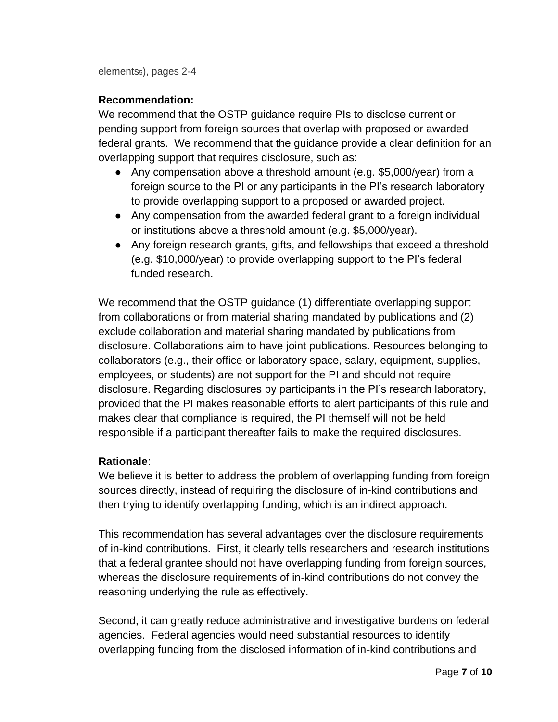elements5), pages 2-4

# **Recommendation:**

We recommend that the OSTP guidance require PIs to disclose current or pending support from foreign sources that overlap with proposed or awarded federal grants. We recommend that the guidance provide a clear definition for an overlapping support that requires disclosure, such as:

- Any compensation above a threshold amount (e.g. \$5,000/year) from a foreign source to the PI or any participants in the PI's research laboratory to provide overlapping support to a proposed or awarded project.
- Any compensation from the awarded federal grant to a foreign individual or institutions above a threshold amount (e.g. \$5,000/year).
- Any foreign research grants, gifts, and fellowships that exceed a threshold (e.g. \$10,000/year) to provide overlapping support to the PI's federal funded research.

We recommend that the OSTP guidance (1) differentiate overlapping support from collaborations or from material sharing mandated by publications and (2) exclude collaboration and material sharing mandated by publications from disclosure. Collaborations aim to have joint publications. Resources belonging to collaborators (e.g., their office or laboratory space, salary, equipment, supplies, employees, or students) are not support for the PI and should not require disclosure. Regarding disclosures by participants in the PI's research laboratory, provided that the PI makes reasonable efforts to alert participants of this rule and makes clear that compliance is required, the PI themself will not be held responsible if a participant thereafter fails to make the required disclosures.

# **Rationale**:

We believe it is better to address the problem of overlapping funding from foreign sources directly, instead of requiring the disclosure of in-kind contributions and then trying to identify overlapping funding, which is an indirect approach.

This recommendation has several advantages over the disclosure requirements of in-kind contributions. First, it clearly tells researchers and research institutions that a federal grantee should not have overlapping funding from foreign sources, whereas the disclosure requirements of in-kind contributions do not convey the reasoning underlying the rule as effectively.

Second, it can greatly reduce administrative and investigative burdens on federal agencies. Federal agencies would need substantial resources to identify overlapping funding from the disclosed information of in-kind contributions and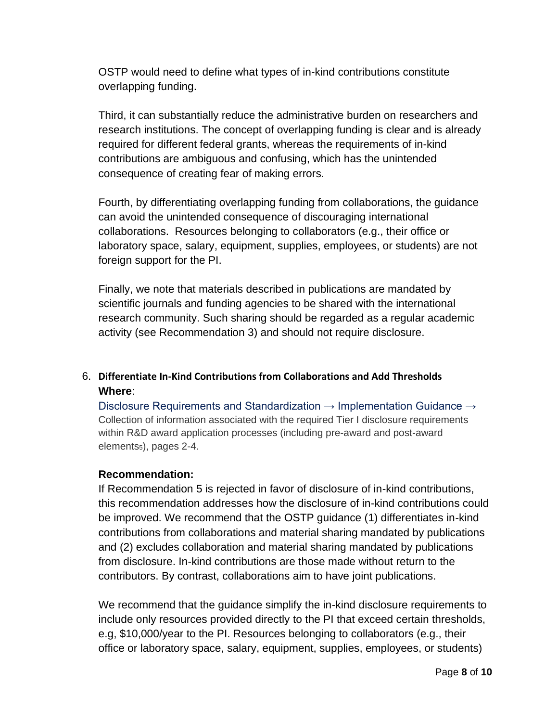OSTP would need to define what types of in-kind contributions constitute overlapping funding.

Third, it can substantially reduce the administrative burden on researchers and research institutions. The concept of overlapping funding is clear and is already required for different federal grants, whereas the requirements of in-kind contributions are ambiguous and confusing, which has the unintended consequence of creating fear of making errors.

Fourth, by differentiating overlapping funding from collaborations, the guidance can avoid the unintended consequence of discouraging international collaborations. Resources belonging to collaborators (e.g., their office or laboratory space, salary, equipment, supplies, employees, or students) are not foreign support for the PI.

Finally, we note that materials described in publications are mandated by scientific journals and funding agencies to be shared with the international research community. Such sharing should be regarded as a regular academic activity (see Recommendation 3) and should not require disclosure.

# 6. **Differentiate In-Kind Contributions from Collaborations and Add Thresholds Where**:

Disclosure Requirements and Standardization  $\rightarrow$  Implementation Guidance  $\rightarrow$ Collection of information associated with the required Tier I disclosure requirements within R&D award application processes (including pre-award and post-award elements5), pages 2-4.

# **Recommendation:**

If Recommendation 5 is rejected in favor of disclosure of in-kind contributions, this recommendation addresses how the disclosure of in-kind contributions could be improved. We recommend that the OSTP guidance (1) differentiates in-kind contributions from collaborations and material sharing mandated by publications and (2) excludes collaboration and material sharing mandated by publications from disclosure. In-kind contributions are those made without return to the contributors. By contrast, collaborations aim to have joint publications.

We recommend that the guidance simplify the in-kind disclosure requirements to include only resources provided directly to the PI that exceed certain thresholds, e.g, \$10,000/year to the PI. Resources belonging to collaborators (e.g., their office or laboratory space, salary, equipment, supplies, employees, or students)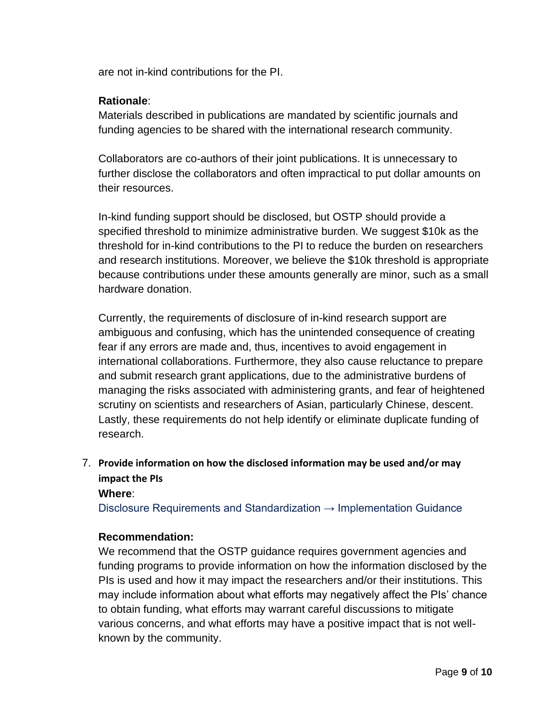are not in-kind contributions for the PI.

# **Rationale**:

Materials described in publications are mandated by scientific journals and funding agencies to be shared with the international research community.

Collaborators are co-authors of their joint publications. It is unnecessary to further disclose the collaborators and often impractical to put dollar amounts on their resources.

In-kind funding support should be disclosed, but OSTP should provide a specified threshold to minimize administrative burden. We suggest \$10k as the threshold for in-kind contributions to the PI to reduce the burden on researchers and research institutions. Moreover, we believe the \$10k threshold is appropriate because contributions under these amounts generally are minor, such as a small hardware donation.

Currently, the requirements of disclosure of in-kind research support are ambiguous and confusing, which has the unintended consequence of creating fear if any errors are made and, thus, incentives to avoid engagement in international collaborations. Furthermore, they also cause reluctance to prepare and submit research grant applications, due to the administrative burdens of managing the risks associated with administering grants, and fear of heightened scrutiny on scientists and researchers of Asian, particularly Chinese, descent. Lastly, these requirements do not help identify or eliminate duplicate funding of research.

# 7. **Provide information on how the disclosed information may be used and/or may impact the PIs**

# **Where**:

Disclosure Requirements and Standardization  $\rightarrow$  Implementation Guidance

# **Recommendation:**

We recommend that the OSTP guidance requires government agencies and funding programs to provide information on how the information disclosed by the PIs is used and how it may impact the researchers and/or their institutions. This may include information about what efforts may negatively affect the PIs' chance to obtain funding, what efforts may warrant careful discussions to mitigate various concerns, and what efforts may have a positive impact that is not wellknown by the community.